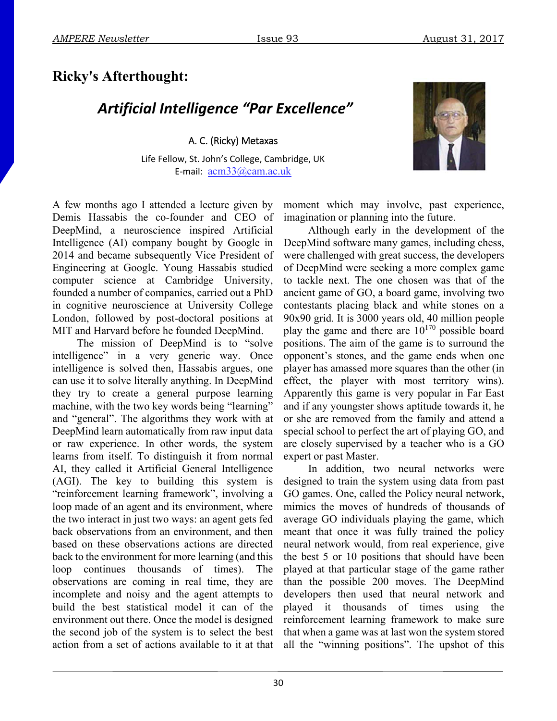## **Ricky's Afterthought:**

## *Artificial Intelligence "Par Excellence"*

A. C. (Ricky) Metaxas

Life Fellow, St. John's College, Cambridge, UK E‐mail: acm33@cam.ac.uk

A few months ago I attended a lecture given by Demis Hassabis the co-founder and CEO of DeepMind, a neuroscience inspired Artificial Intelligence (AI) company bought by Google in 2014 and became subsequently Vice President of Engineering at Google. Young Hassabis studied computer science at Cambridge University, founded a number of companies, carried out a PhD in cognitive neuroscience at University College London, followed by post-doctoral positions at MIT and Harvard before he founded DeepMind.

The mission of DeepMind is to "solve intelligence" in a very generic way. Once intelligence is solved then, Hassabis argues, one can use it to solve literally anything. In DeepMind they try to create a general purpose learning machine, with the two key words being "learning" and "general". The algorithms they work with at DeepMind learn automatically from raw input data or raw experience. In other words, the system learns from itself. To distinguish it from normal AI, they called it Artificial General Intelligence (AGI). The key to building this system is "reinforcement learning framework", involving a loop made of an agent and its environment, where the two interact in just two ways: an agent gets fed back observations from an environment, and then based on these observations actions are directed back to the environment for more learning (and this loop continues thousands of times). The observations are coming in real time, they are incomplete and noisy and the agent attempts to build the best statistical model it can of the environment out there. Once the model is designed the second job of the system is to select the best action from a set of actions available to it at that

moment which may involve, past experience, imagination or planning into the future.

Although early in the development of the DeepMind software many games, including chess, were challenged with great success, the developers of DeepMind were seeking a more complex game to tackle next. The one chosen was that of the ancient game of GO, a board game, involving two contestants placing black and white stones on a 90x90 grid. It is 3000 years old, 40 million people play the game and there are 10170 possible board positions. The aim of the game is to surround the opponent's stones, and the game ends when one player has amassed more squares than the other (in effect, the player with most territory wins). Apparently this game is very popular in Far East and if any youngster shows aptitude towards it, he or she are removed from the family and attend a special school to perfect the art of playing GO, and are closely supervised by a teacher who is a GO expert or past Master.

In addition, two neural networks were designed to train the system using data from past GO games. One, called the Policy neural network, mimics the moves of hundreds of thousands of average GO individuals playing the game, which meant that once it was fully trained the policy neural network would, from real experience, give the best 5 or 10 positions that should have been played at that particular stage of the game rather than the possible 200 moves. The DeepMind developers then used that neural network and played it thousands of times using the reinforcement learning framework to make sure that when a game was at last won the system stored all the "winning positions". The upshot of this